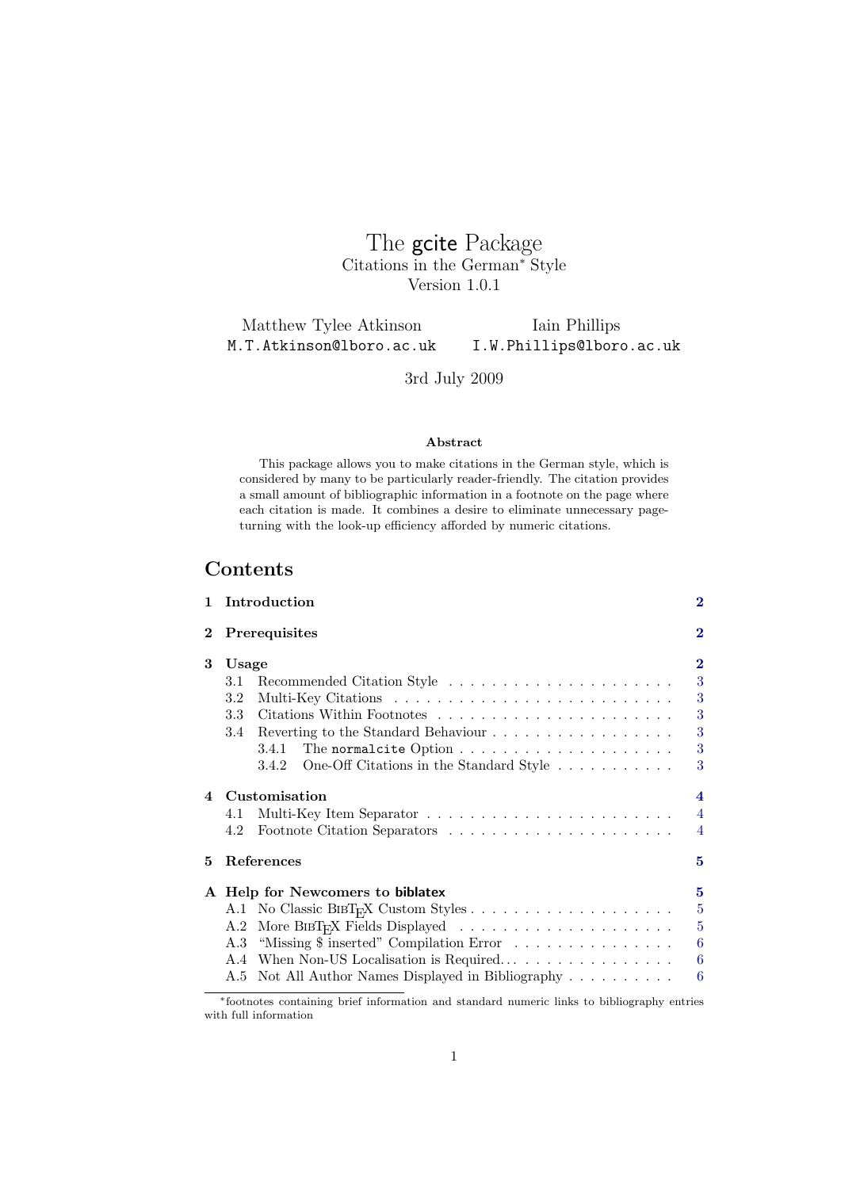The gcite Package Citations in the German<sup>∗</sup> Style Version 1.0.1

Matthew Tylee Atkinson M.T.Atkinson@lboro.ac.uk Iain Phillips I.W.Phillips@lboro.ac.uk

3rd July 2009

#### Abstract

This package allows you to make citations in the German style, which is considered by many to be particularly reader-friendly. The citation provides a small amount of bibliographic information in a footnote on the page where each citation is made. It combines a desire to eliminate unnecessary pageturning with the look-up efficiency afforded by numeric citations.

# Contents

| 1.                     | Introduction                                                                                        | $\bf{2}$       |  |  |
|------------------------|-----------------------------------------------------------------------------------------------------|----------------|--|--|
| $\bf{2}$               | <b>Prerequisites</b>                                                                                |                |  |  |
| 3                      | Usage                                                                                               | $\bf{2}$       |  |  |
|                        | 3.1                                                                                                 | 3              |  |  |
|                        | 3.2                                                                                                 | 3              |  |  |
|                        | 3.3                                                                                                 | 3              |  |  |
|                        |                                                                                                     | 3              |  |  |
|                        | 3.4.1                                                                                               | 3              |  |  |
|                        | One-Off Citations in the Standard Style<br>3.4.2                                                    | 3              |  |  |
| $\boldsymbol{\Lambda}$ | Customisation                                                                                       |                |  |  |
|                        | 4.1                                                                                                 | $\overline{4}$ |  |  |
|                        | 4.2                                                                                                 | $\overline{4}$ |  |  |
| 5.                     | References                                                                                          | 5              |  |  |
|                        | A Help for Newcomers to biblatex                                                                    | 5              |  |  |
|                        |                                                                                                     | $\overline{5}$ |  |  |
|                        | More BIBT <sub>E</sub> X Fields Displayed $\ldots \ldots \ldots \ldots \ldots \ldots \ldots$<br>A.2 | $\overline{5}$ |  |  |
|                        | "Missing \$ inserted" Compilation Error<br>A.3                                                      | 6              |  |  |
|                        | A.4                                                                                                 | 6              |  |  |
|                        | Not All Author Names Displayed in Bibliography<br>A.5                                               | 6              |  |  |

<sup>∗</sup>footnotes containing brief information and standard numeric links to bibliography entries with full information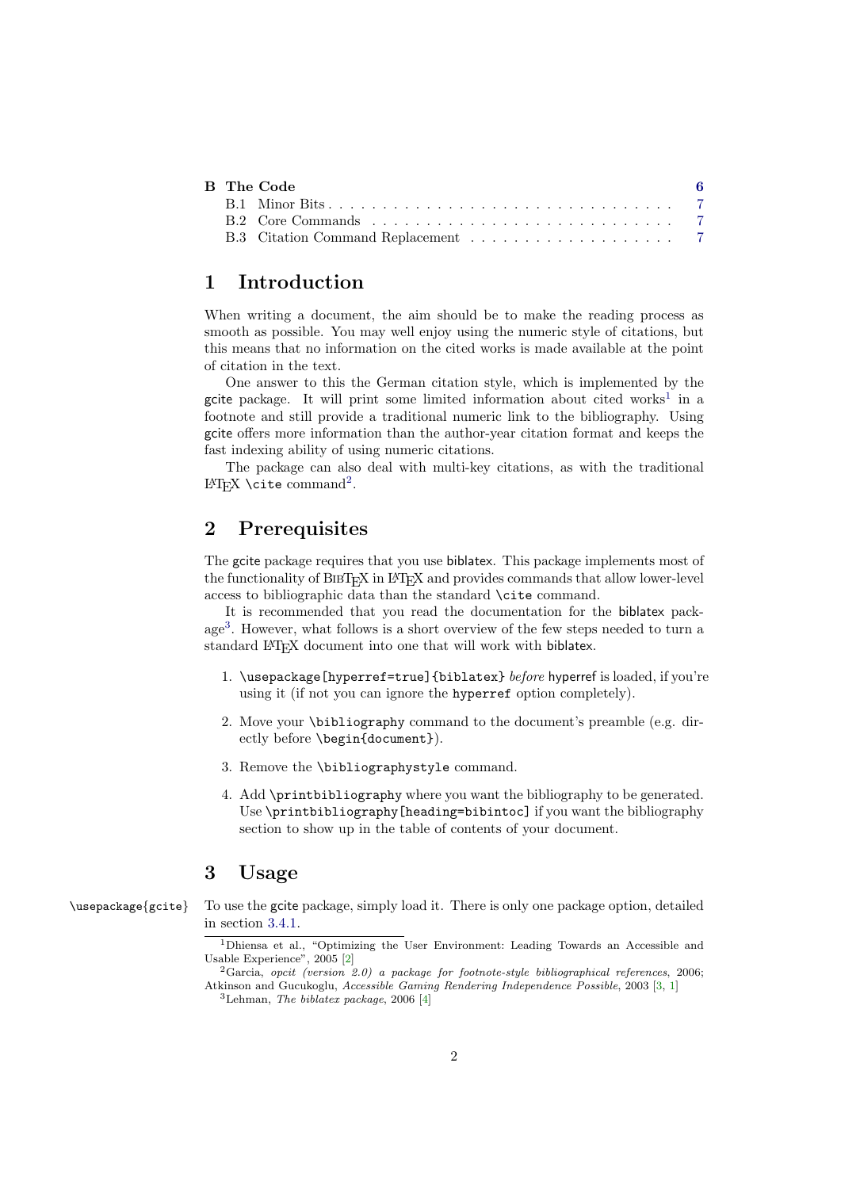|  | B The Code | -6 |
|--|------------|----|
|  |            |    |
|  |            |    |
|  |            |    |

# <span id="page-1-0"></span>1 Introduction

When writing a document, the aim should be to make the reading process as smooth as possible. You may well enjoy using the numeric style of citations, but this means that no information on the cited works is made available at the point of citation in the text.

One answer to this the German citation style, which is implemented by the gcite package. It will print some limited information about cited works<sup>[1](#page-1-3)</sup> in a footnote and still provide a traditional numeric link to the bibliography. Using gcite offers more information than the author-year citation format and keeps the fast indexing ability of using numeric citations.

The package can also deal with multi-key citations, as with the traditional  $L^2E[X \setminus cite command^2$  $L^2E[X \setminus cite command^2$  $L^2E[X \setminus cite command^2$ .

# <span id="page-1-1"></span>2 Prerequisites

The gcite package requires that you use biblatex. This package implements most of the functionality of BIBT<sub>E</sub>X in L<sup>A</sup>T<sub>E</sub>X and provides commands that allow lower-level access to bibliographic data than the standard \cite command.

It is recommended that you read the documentation for the biblatex package[3](#page-1-5) . However, what follows is a short overview of the few steps needed to turn a standard LAT<sub>E</sub>X document into one that will work with biblatex.

- 1. \usepackage[hyperref=true]{biblatex} before hyperref is loaded, if you're using it (if not you can ignore the hyperref option completely).
- 2. Move your \bibliography command to the document's preamble (e.g. directly before \begin{document}).
- 3. Remove the \bibliographystyle command.
- 4. Add \printbibliography where you want the bibliography to be generated. Use \printbibliography[heading=bibintoc] if you want the bibliography section to show up in the table of contents of your document.

# <span id="page-1-2"></span>3 Usage

\usepackage{gcite} To use the gcite package, simply load it. There is only one package option, detailed in section [3.4.1.](#page-2-4)

<span id="page-1-3"></span><sup>1</sup>Dhiensa et al., "Optimizing the User Environment: Leading Towards an Accessible and Usable Experience", 2005 [\[2\]](#page-4-4)

<span id="page-1-4"></span> ${}^{2}$ Garcia, opcit (version 2.0) a package for footnote-style bibliographical references, 2006; Atkinson and Gucukoglu, Accessible Gaming Rendering Independence Possible, 2003 [\[3,](#page-4-5) [1\]](#page-4-6)

<span id="page-1-5"></span> ${}^{3}$ Lehman, *The biblatex package*, 2006 [\[4\]](#page-4-7)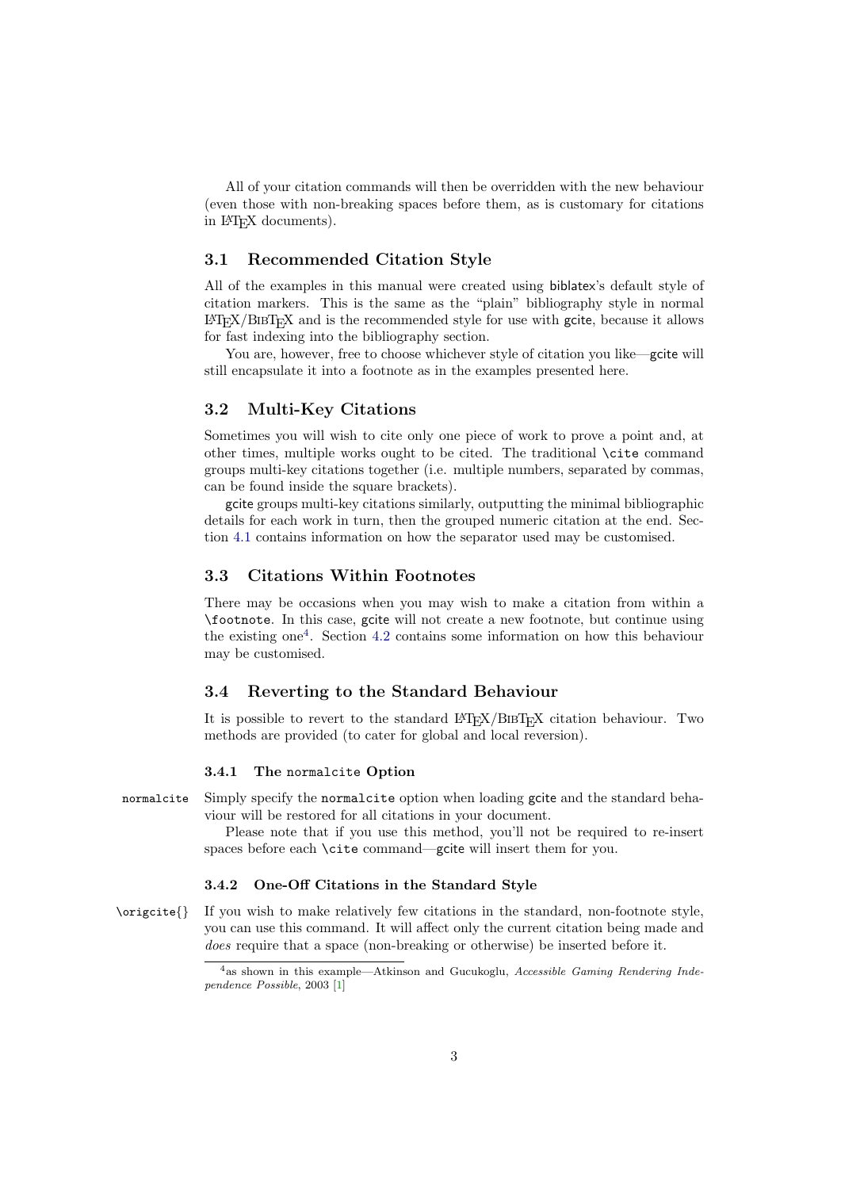All of your citation commands will then be overridden with the new behaviour (even those with non-breaking spaces before them, as is customary for citations in LATEX documents).

## <span id="page-2-0"></span>3.1 Recommended Citation Style

All of the examples in this manual were created using biblatex's default style of citation markers. This is the same as the "plain" bibliography style in normal  $\langle \text{LFTF}X/\text{BIBT}_{\text{F}}X \rangle$  and is the recommended style for use with going steps it allows for fast indexing into the bibliography section.

You are, however, free to choose whichever style of citation you like—gcite will still encapsulate it into a footnote as in the examples presented here.

## <span id="page-2-1"></span>3.2 Multi-Key Citations

Sometimes you will wish to cite only one piece of work to prove a point and, at other times, multiple works ought to be cited. The traditional \cite command groups multi-key citations together (i.e. multiple numbers, separated by commas, can be found inside the square brackets).

gcite groups multi-key citations similarly, outputting the minimal bibliographic details for each work in turn, then the grouped numeric citation at the end. Section [4.1](#page-3-1) contains information on how the separator used may be customised.

### <span id="page-2-2"></span>3.3 Citations Within Footnotes

There may be occasions when you may wish to make a citation from within a \footnote. In this case, gcite will not create a new footnote, but continue using the existing one[4](#page-2-6) . Section [4.2](#page-3-2) contains some information on how this behaviour may be customised.

### <span id="page-2-3"></span>3.4 Reverting to the Standard Behaviour

It is possible to revert to the standard  $LAT$ <sub>F</sub>X/B<sub>IB</sub>T<sub>F</sub>X citation behaviour. Two methods are provided (to cater for global and local reversion).

#### <span id="page-2-4"></span>3.4.1 The normalcite Option

normalcite Simply specify the normalcite option when loading gcite and the standard behaviour will be restored for all citations in your document.

> Please note that if you use this method, you'll not be required to re-insert spaces before each \cite command—gcite will insert them for you.

#### <span id="page-2-5"></span>3.4.2 One-Off Citations in the Standard Style

\origcite{} If you wish to make relatively few citations in the standard, non-footnote style, you can use this command. It will affect only the current citation being made and does require that a space (non-breaking or otherwise) be inserted before it.

<span id="page-2-6"></span><sup>4</sup>as shown in this example—Atkinson and Gucukoglu, Accessible Gaming Rendering Independence Possible, 2003 [\[1\]](#page-4-6)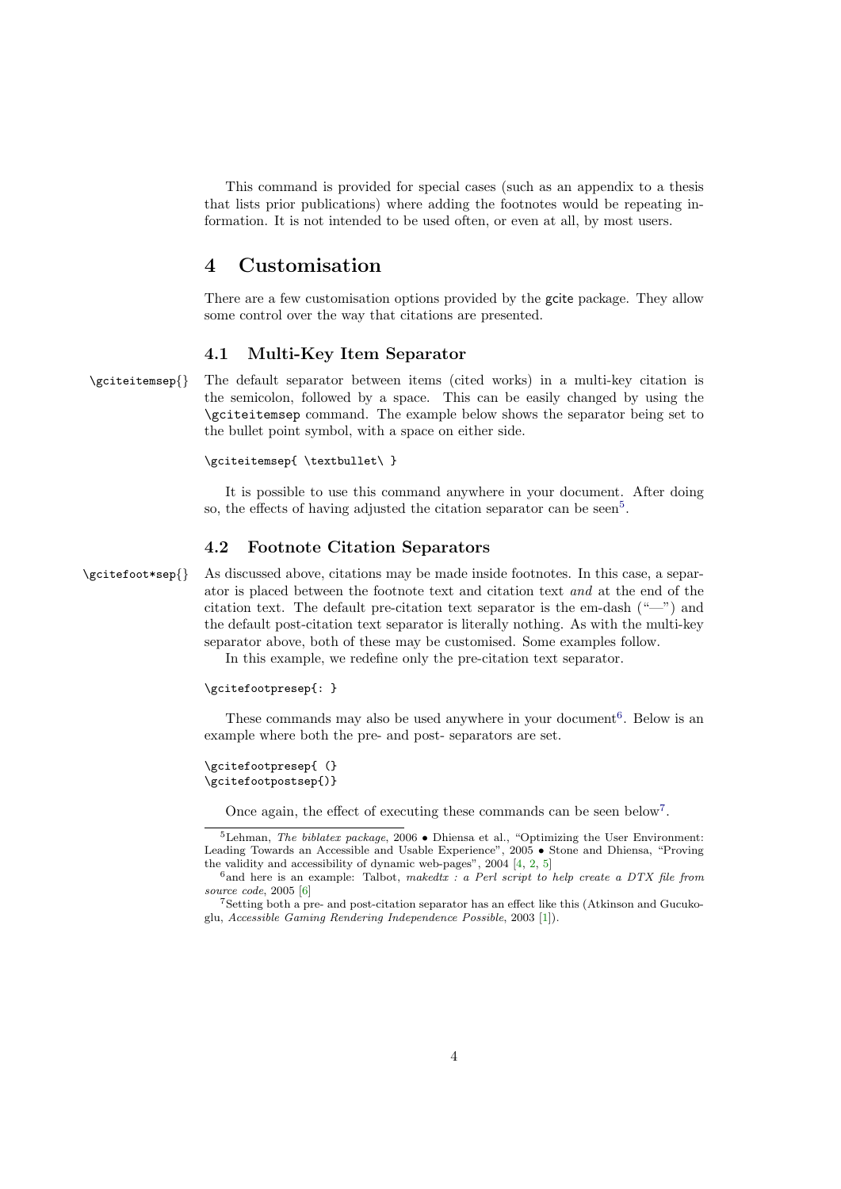This command is provided for special cases (such as an appendix to a thesis that lists prior publications) where adding the footnotes would be repeating information. It is not intended to be used often, or even at all, by most users.

## <span id="page-3-0"></span>4 Customisation

There are a few customisation options provided by the gcite package. They allow some control over the way that citations are presented.

## <span id="page-3-1"></span>4.1 Multi-Key Item Separator

\gciteitemsep{} The default separator between items (cited works) in a multi-key citation is the semicolon, followed by a space. This can be easily changed by using the \gciteitemsep command. The example below shows the separator being set to the bullet point symbol, with a space on either side.

#### \gciteitemsep{ \textbullet\ }

It is possible to use this command anywhere in your document. After doing so, the effects of having adjusted the citation separator can be seen<sup>[5](#page-3-3)</sup>.

## <span id="page-3-2"></span>4.2 Footnote Citation Separators

\gcitefoot\*sep{} As discussed above, citations may be made inside footnotes. In this case, a separator is placed between the footnote text and citation text and at the end of the citation text. The default pre-citation text separator is the em-dash ("—") and the default post-citation text separator is literally nothing. As with the multi-key separator above, both of these may be customised. Some examples follow.

In this example, we redefine only the pre-citation text separator.

#### \gcitefootpresep{: }

These commands may also be used anywhere in your document<sup>[6](#page-3-4)</sup>. Below is an example where both the pre- and post- separators are set.

\gcitefootpresep{ (} \gcitefootpostsep{)}

<span id="page-3-3"></span>Once again, the effect of executing these commands can be seen below<sup>[7](#page-3-5)</sup>.

<sup>&</sup>lt;sup>5</sup>Lehman, *The biblatex package*, 2006 • Dhiensa et al., "Optimizing the User Environment: Leading Towards an Accessible and Usable Experience", 2005 • Stone and Dhiensa, "Proving the validity and accessibility of dynamic web-pages", 2004 [\[4,](#page-4-7) [2,](#page-4-4) [5\]](#page-4-8)

<span id="page-3-4"></span> $^6$ and here is an example: Talbot, makedtx : a Perl script to help create a DTX file from source code, 2005 [\[6\]](#page-4-9)

<span id="page-3-5"></span><sup>7</sup>Setting both a pre- and post-citation separator has an effect like this (Atkinson and Gucukoglu, Accessible Gaming Rendering Independence Possible, 2003 [\[1\]](#page-4-6)).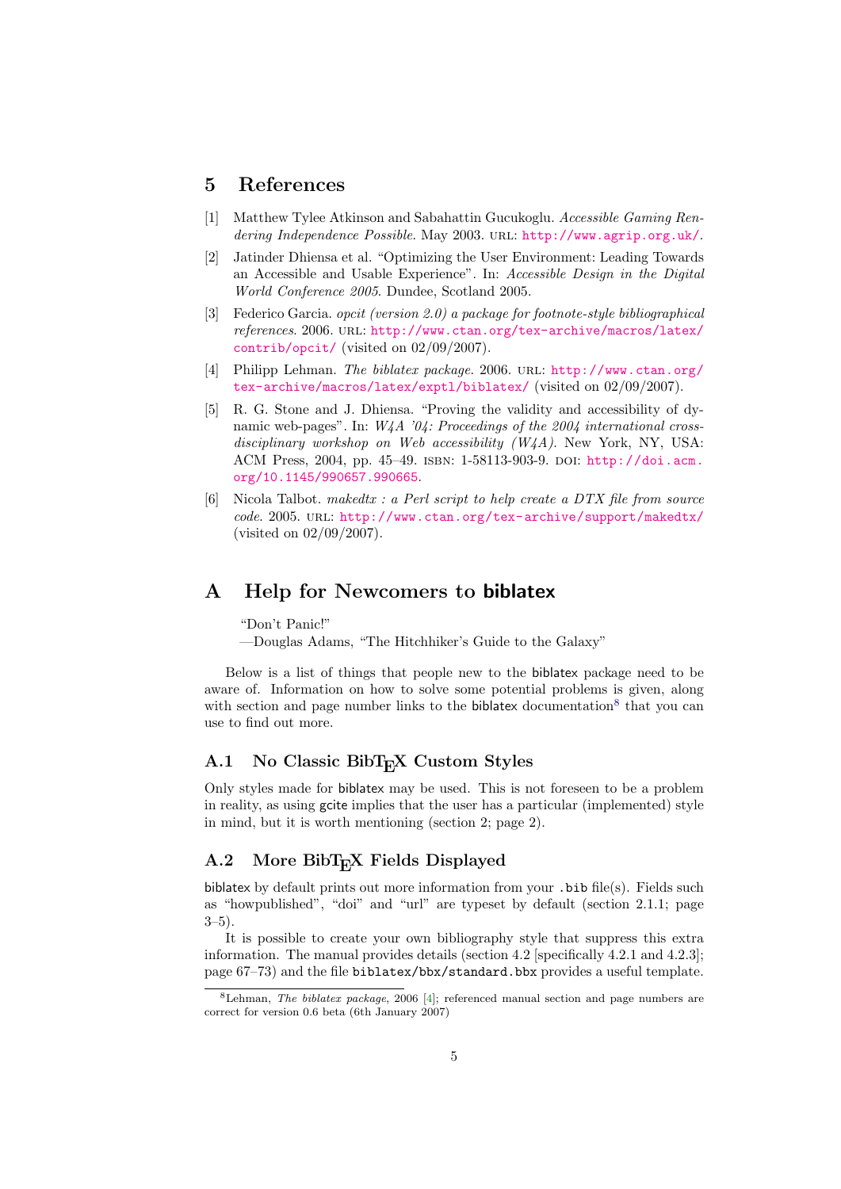## <span id="page-4-0"></span>5 References

- <span id="page-4-6"></span>[1] Matthew Tylee Atkinson and Sabahattin Gucukoglu. Accessible Gaming Rendering Independence Possible. May 2003. URL: <http://www.agrip.org.uk/>.
- <span id="page-4-4"></span>[2] Jatinder Dhiensa et al. "Optimizing the User Environment: Leading Towards an Accessible and Usable Experience". In: Accessible Design in the Digital World Conference 2005. Dundee, Scotland 2005.
- <span id="page-4-5"></span>[3] Federico Garcia. opcit (version 2.0) a package for footnote-style bibliographical references. 2006. url: [http://www.ctan.org/tex-archive/macros/latex/](http://www.ctan.org/tex-archive/macros/latex/contrib/opcit/) [contrib/opcit/](http://www.ctan.org/tex-archive/macros/latex/contrib/opcit/) (visited on 02/09/2007).
- <span id="page-4-7"></span>[4] Philipp Lehman. The biblatex package. 2006. url: [http://www.ctan.org/](http://www.ctan.org/tex-archive/macros/latex/exptl/biblatex/) [tex-archive/macros/latex/exptl/biblatex/](http://www.ctan.org/tex-archive/macros/latex/exptl/biblatex/) (visited on 02/09/2007).
- <span id="page-4-8"></span>[5] R. G. Stone and J. Dhiensa. "Proving the validity and accessibility of dynamic web-pages". In:  $W\mu A$  '04: Proceedings of the 2004 international crossdisciplinary workshop on Web accessibility  $(W4A)$ . New York, NY, USA: ACM Press, 2004, pp. 45–49. isbn: 1-58113-903-9. doi: [http://doi.acm.](http://dx.doi.org/http://doi.acm.org/10.1145/990657.990665) [org/10.1145/990657.990665](http://dx.doi.org/http://doi.acm.org/10.1145/990657.990665).
- <span id="page-4-9"></span>[6] Nicola Talbot. makedtx : a Perl script to help create a DTX file from source code. 2005. URL: <http://www.ctan.org/tex-archive/support/makedtx/> (visited on 02/09/2007).

## <span id="page-4-1"></span>A Help for Newcomers to biblatex

"Don't Panic!"

—Douglas Adams, "The Hitchhiker's Guide to the Galaxy"

Below is a list of things that people new to the biblatex package need to be aware of. Information on how to solve some potential problems is given, along with section and page number links to the biblatex documentation<sup>[8](#page-4-10)</sup> that you can use to find out more.

## <span id="page-4-2"></span>A.1 No Classic BibT<sub>E</sub>X Custom Styles

Only styles made for biblatex may be used. This is not foreseen to be a problem in reality, as using gcite implies that the user has a particular (implemented) style in mind, but it is worth mentioning (section 2; page 2).

## <span id="page-4-3"></span>A.2 More BibT<sub>E</sub>X Fields Displayed

biblatex by default prints out more information from your .bib file(s). Fields such as "howpublished", "doi" and "url" are typeset by default (section 2.1.1; page  $3-5$ ).

It is possible to create your own bibliography style that suppress this extra information. The manual provides details (section 4.2 [specifically  $4.2.1$  and  $4.2.3$ ]; page 67–73) and the file biblatex/bbx/standard.bbx provides a useful template.

<span id="page-4-10"></span><sup>&</sup>lt;sup>8</sup>Lehman, *The biblatex package*, 2006 [\[4\]](#page-4-7); referenced manual section and page numbers are correct for version 0.6 beta (6th January 2007)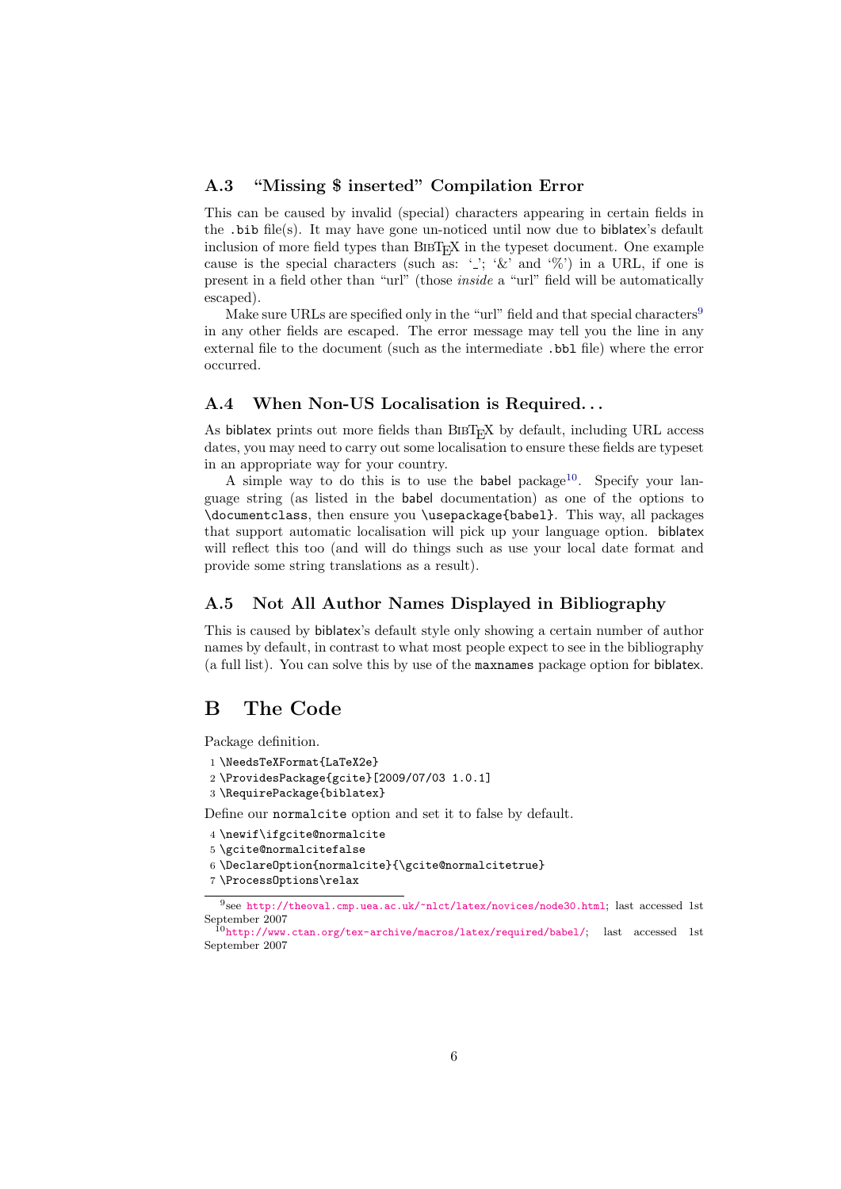## <span id="page-5-0"></span>A.3 "Missing \$ inserted" Compilation Error

This can be caused by invalid (special) characters appearing in certain fields in the .bib file(s). It may have gone un-noticed until now due to biblatex's default inclusion of more field types than  $BIBT_FX$  in the typeset document. One example cause is the special characters (such as: ' $\cdot$ '; ' $\&$ ' and ' $\%$ ') in a URL, if one is present in a field other than "url" (those inside a "url" field will be automatically escaped).

Make sure URLs are specified only in the "url" field and that special characters<sup>[9](#page-5-4)</sup> in any other fields are escaped. The error message may tell you the line in any external file to the document (such as the intermediate .bbl file) where the error occurred.

### <span id="page-5-1"></span>A.4 When Non-US Localisation is Required...

As biblatex prints out more fields than  $BIBT_FX$  by default, including URL access dates, you may need to carry out some localisation to ensure these fields are typeset in an appropriate way for your country.

A simple way to do this is to use the babel package<sup>[10](#page-5-5)</sup>. Specify your language string (as listed in the babel documentation) as one of the options to \documentclass, then ensure you \usepackage{babel}. This way, all packages that support automatic localisation will pick up your language option. biblatex will reflect this too (and will do things such as use your local date format and provide some string translations as a result).

## <span id="page-5-2"></span>A.5 Not All Author Names Displayed in Bibliography

This is caused by biblatex's default style only showing a certain number of author names by default, in contrast to what most people expect to see in the bibliography (a full list). You can solve this by use of the maxnames package option for biblatex.

# <span id="page-5-3"></span>B The Code

Package definition.

```
1 \NeedsTeXFormat{LaTeX2e}
```

```
2 \ProvidesPackage{gcite}[2009/07/03 1.0.1]
```
3 \RequirePackage{biblatex}

Define our normalcite option and set it to false by default.

```
4 \newif\ifgcite@normalcite
```

```
5 \gcite@normalcitefalse
```
6 \DeclareOption{normalcite}{\gcite@normalcitetrue}

```
7 \ProcessOptions\relax
```
<span id="page-5-4"></span><sup>9</sup> see <http://theoval.cmp.uea.ac.uk/~nlct/latex/novices/node30.html>; last accessed 1st September 2007

<span id="page-5-5"></span><sup>10</sup><http://www.ctan.org/tex-archive/macros/latex/required/babel/>; last accessed 1st September 2007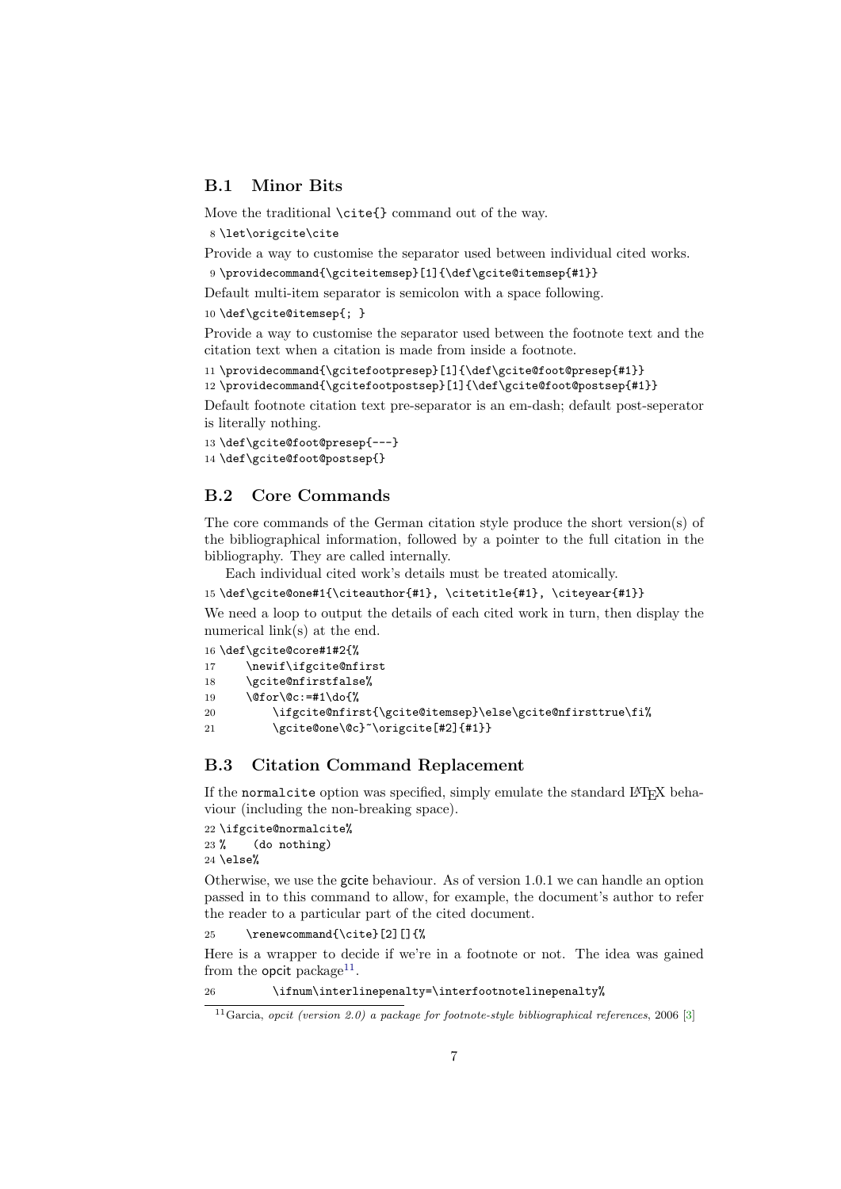## <span id="page-6-0"></span>B.1 Minor Bits

Move the traditional  $\ct{}$  command out of the way.

```
8 \let\origcite\cite
```
Provide a way to customise the separator used between individual cited works.

```
9 \providecommand{\gciteitemsep}[1]{\def\gcite@itemsep{#1}}
```
Default multi-item separator is semicolon with a space following.

10 \def\gcite@itemsep{; }

Provide a way to customise the separator used between the footnote text and the citation text when a citation is made from inside a footnote.

11 \providecommand{\gcitefootpresep}[1]{\def\gcite@foot@presep{#1}}

12 \providecommand{\gcitefootpostsep}[1]{\def\gcite@foot@postsep{#1}}

Default footnote citation text pre-separator is an em-dash; default post-seperator is literally nothing.

```
13 \def\gcite@foot@presep{---}
14 \def\gcite@foot@postsep{}
```
## <span id="page-6-1"></span>B.2 Core Commands

The core commands of the German citation style produce the short version(s) of the bibliographical information, followed by a pointer to the full citation in the bibliography. They are called internally.

Each individual cited work's details must be treated atomically.

15 \def\gcite@one#1{\citeauthor{#1}, \citetitle{#1}, \citeyear{#1}}

We need a loop to output the details of each cited work in turn, then display the numerical link(s) at the end.

```
16 \def\gcite@core#1#2{%
17 \newif\ifgcite@nfirst
18 \gcite@nfirstfalse%
19 \@for\@c:=#1\do{%
20 \ifgcite@nfirst{\gcite@itemsep}\else\gcite@nfirsttrue\fi%
21 \gcite@one\@c}~\origcite[#2]{#1}}
```
## <span id="page-6-2"></span>B.3 Citation Command Replacement

If the normalcite option was specified, simply emulate the standard LATEX behaviour (including the non-breaking space).

22 \ifgcite@normalcite% 23 % (do nothing) 24 \else%

Otherwise, we use the gcite behaviour. As of version 1.0.1 we can handle an option passed in to this command to allow, for example, the document's author to refer the reader to a particular part of the cited document.

25 \renewcommand{\cite}[2][]{%

Here is a wrapper to decide if we're in a footnote or not. The idea was gained from the opcit package<sup>[11](#page-6-3)</sup>.

26 \ifnum\interlinepenalty=\interfootnotelinepenalty%

<span id="page-6-3"></span><sup>&</sup>lt;sup>11</sup>Garcia, opcit (version 2.0) a package for footnote-style bibliographical references, 2006 [\[3\]](#page-4-5)